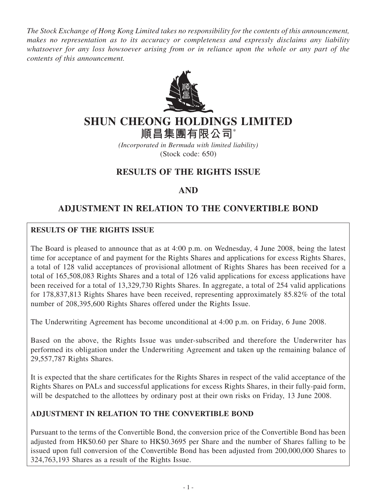*The Stock Exchange of Hong Kong Limited takes no responsibility for the contents of this announcement, makes no representation as to its accuracy or completeness and expressly disclaims any liability whatsoever for any loss howsoever arising from or in reliance upon the whole or any part of the contents of this announcement.*



# **SHUN CHEONG HOLDINGS LIMITED**

**順昌集團有限公司**\*

*(Incorporated in Bermuda with limited liability)* (Stock code: 650)

### **RESULTS OF THE RIGHTS ISSUE**

### **AND**

## **ADJUSTMENT IN RELATION TO THE CONVERTIBLE BOND**

#### **RESULTS OF THE RIGHTS ISSUE**

The Board is pleased to announce that as at 4:00 p.m. on Wednesday, 4 June 2008, being the latest time for acceptance of and payment for the Rights Shares and applications for excess Rights Shares, a total of 128 valid acceptances of provisional allotment of Rights Shares has been received for a total of 165,508,083 Rights Shares and a total of 126 valid applications for excess applications have been received for a total of 13,329,730 Rights Shares. In aggregate, a total of 254 valid applications for 178,837,813 Rights Shares have been received, representing approximately 85.82% of the total number of 208,395,600 Rights Shares offered under the Rights Issue.

The Underwriting Agreement has become unconditional at 4:00 p.m. on Friday, 6 June 2008.

Based on the above, the Rights Issue was under-subscribed and therefore the Underwriter has performed its obligation under the Underwriting Agreement and taken up the remaining balance of 29,557,787 Rights Shares.

It is expected that the share certificates for the Rights Shares in respect of the valid acceptance of the Rights Shares on PALs and successful applications for excess Rights Shares, in their fully-paid form, will be despatched to the allottees by ordinary post at their own risks on Friday, 13 June 2008.

#### **ADJUSTMENT IN RELATION TO THE CONVERTIBLE BOND**

Pursuant to the terms of the Convertible Bond, the conversion price of the Convertible Bond has been adjusted from HK\$0.60 per Share to HK\$0.3695 per Share and the number of Shares falling to be issued upon full conversion of the Convertible Bond has been adjusted from 200,000,000 Shares to 324,763,193 Shares as a result of the Rights Issue.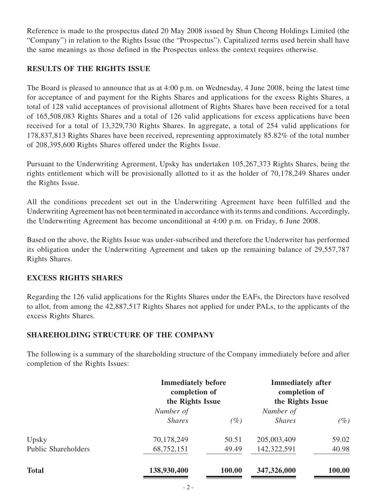Reference is made to the prospectus dated 20 May 2008 issued by Shun Cheong Holdings Limited (the "Company") in relation to the Rights Issue (the "Prospectus"). Capitalized terms used herein shall have the same meanings as those defined in the Prospectus unless the context requires otherwise.

#### **RESULTS OF THE RIGHTS ISSUE**

The Board is pleased to announce that as at 4:00 p.m. on Wednesday, 4 June 2008, being the latest time for acceptance of and payment for the Rights Shares and applications for the excess Rights Shares, a total of 128 valid acceptances of provisional allotment of Rights Shares have been received for a total of 165,508,083 Rights Shares and a total of 126 valid applications for excess applications have been received for a total of 13,329,730 Rights Shares. In aggregate, a total of 254 valid applications for 178,837,813 Rights Shares have been received, representing approximately 85.82% of the total number of 208,395,600 Rights Shares offered under the Rights Issue.

Pursuant to the Underwriting Agreement, Upsky has undertaken 105,267,373 Rights Shares, being the rights entitlement which will be provisionally allotted to it as the holder of 70,178,249 Shares under the Rights Issue.

All the conditions precedent set out in the Underwriting Agreement have been fulfilled and the Underwriting Agreement has not been terminated in accordance with its terms and conditions. Accordingly, the Underwriting Agreement has become unconditional at 4:00 p.m. on Friday, 6 June 2008.

Based on the above, the Rights Issue was under-subscribed and therefore the Underwriter has performed its obligation under the Underwriting Agreement and taken up the remaining balance of 29,557,787 Rights Shares.

#### **EXCESS RIGHTS SHARES**

Regarding the 126 valid applications for the Rights Shares under the EAFs, the Directors have resolved to allot, from among the 42,887,517 Rights Shares not applied for under PALs, to the applicants of the excess Rights Shares.

#### **SHAREHOLDING STRUCTURE OF THE COMPANY**

The following is a summary of the shareholding structure of the Company immediately before and after completion of the Rights Issues:

|                            | <b>Immediately before</b><br>completion of<br>the Rights Issue |        | <b>Immediately after</b><br>completion of<br>the Rights Issue |        |
|----------------------------|----------------------------------------------------------------|--------|---------------------------------------------------------------|--------|
|                            | Number of                                                      |        | Number of                                                     |        |
|                            | <b>Shares</b>                                                  | (%)    | <b>Shares</b>                                                 | $(\%)$ |
| Upsky                      | 70,178,249                                                     | 50.51  | 205,003,409                                                   | 59.02  |
| <b>Public Shareholders</b> | 68,752,151                                                     | 49.49  | 142,322,591                                                   | 40.98  |
| <b>Total</b>               | 138,930,400                                                    | 100.00 | 347,326,000                                                   | 100.00 |